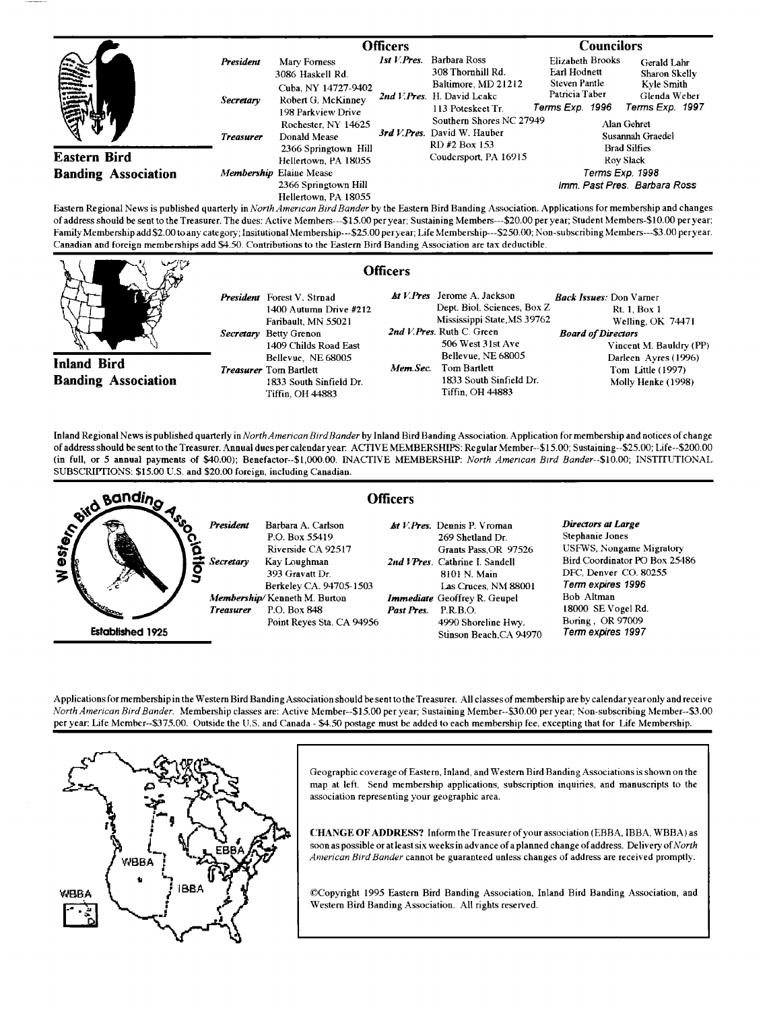|                                                   |                                                   | <b>Officers</b>                                                                                                                            |             | <b>Councilors</b>                                                                                                                                                                        |                                                                                                             |                                                                                                                  |
|---------------------------------------------------|---------------------------------------------------|--------------------------------------------------------------------------------------------------------------------------------------------|-------------|------------------------------------------------------------------------------------------------------------------------------------------------------------------------------------------|-------------------------------------------------------------------------------------------------------------|------------------------------------------------------------------------------------------------------------------|
| en de la propie<br>靈                              | President<br><b>Secretary</b><br><b>Treasurer</b> | Mary Forness<br>3086 Haskell Rd.<br>Cuba, NY 14727-9402<br>Robert G. McKinney<br>198 Parkview Drive<br>Rochester, NY 14625<br>Donald Mease | 1st V.Pres. | Barbara Ross<br>308 Thornhill Rd.<br>Baltimore, MD 21212<br>2nd V.Pres. H. David Leake<br>113 Poteskeet Tr.<br>Southern Shores NC 27949<br>3rd V. Pres. David W. Hauber<br>RD #2 Box 153 | <b>Elizabeth Brooks</b><br><b>Earl Hodnett</b><br><b>Steven Pantle</b><br>Patricia Taber<br>Terms Exp. 1996 | Gerald Lahr<br>Sharon Skelly<br>Kyle Smith<br>Glenda Weber<br>Terms Exp. 1997<br>Alan Gehret<br>Susannah Graedel |
| <b>Eastern Bird</b><br><b>Banding Association</b> |                                                   | 2366 Springtown Hill<br>Hellertown. PA 18055<br>Membership Elaine Mease<br>2366 Springtown Hill<br>Hellertown, PA 18055                    |             | Coudersport, PA 16915                                                                                                                                                                    | <b>Brad Silfies</b><br>Roy Slack<br>Terms Exp. 1998<br>Imm. Past Pres. Barbara Ross                         |                                                                                                                  |

**Easlem Regional News is published quarterly inNorth Anerican BirdBander by the Eastem Bird Banding Association. Applications for membership and changes of address should be sento the Treasurer. The dues: Active Members---\$15.00 per year: Sustaining Members---S20.00 per year: Student Members-S10.00 peryear;**  Family Membership add \$2.00 to any category; Insitutional Membership---\$25.00 peryear; Life Membership---\$250.00; Non-subscribing Members---\$3.00 peryear. **Canadian and foreign memberships add \$4.50. Contributions to the Eastern Bird Banding Association are tax deductible.** 

|                                                                                                                              | <b>Officers</b>                                                                                                                                                                                                                             |                                                                                                                                                                                                                                                             |                                                                                                                                                                                                       |
|------------------------------------------------------------------------------------------------------------------------------|---------------------------------------------------------------------------------------------------------------------------------------------------------------------------------------------------------------------------------------------|-------------------------------------------------------------------------------------------------------------------------------------------------------------------------------------------------------------------------------------------------------------|-------------------------------------------------------------------------------------------------------------------------------------------------------------------------------------------------------|
| <b>Inland Bird</b><br><b>Banding Association</b>                                                                             | <b>President</b> Forest V. Strnad<br>1400 Autumn Drive #212<br>Faribault, MN 55021<br>Secretary Betty Grenon<br>1409 Childs Road East<br>Bellevue, NE 68005<br><b>Treasurer</b> Tom Bartlett<br>1833 South Sinfield Dr.<br>Tiffin, OH 44883 | <b><i>kt V.Pres</i></b> Jerome A. Jackson<br>Dept. Biol. Sciences, Box Z.<br>Mississippi State MS 39762<br>2nd V. Pres. Ruth C. Green<br>506 West 31st Ave<br>Bellevue, NE 68005<br>Tom Bartlett<br>Mem.Sec.<br>1833 South Sinfield Dr.<br>Tiffin, OH 44883 | <i><b>Back Issues: Don Varner</b></i><br>Rt. 1. Box 1<br>Welling, OK 74471<br><b>Board of Directors</b><br>Vincent M. Bauldry (PP)<br>Darleen Ayres (1996)<br>Tom Little (1997)<br>Molly Henke (1998) |
| $\sim$ 11 $\sim$ 1111 $\sim$ 1111 $\sim$ 1111 $\sim$ 1111 $\sim$ 1111 $\sim$ 1111 $\sim$ 1111 $\sim$ 1111 $\sim$ 1111 $\sim$ |                                                                                                                                                                                                                                             | Inland Regional News is published quarterly in North American Bird Bander by Inland Bird Banding Association. Application for membership and notices of change<br>$\blacksquare$                                                                            | $A = 00$ is $A = 00$                                                                                                                                                                                  |

**of addresshould be sento the Treasurer. Annual dues per calendar year. ACTIV E MEMBERSHIPS: Regular Member--\$15.00; Sustaining--S25.00; Life--S200.00**  (in full, or 5 annual payments of \$40.00); Benefactor--\$1,000.00. INACTIVE MEMBERSHIP: North American Bird Bander--\$10.00; INSTITUTIONAL **SUBSCRIPTIONS: \$15.00 U.S. and \$20.00 foreign, including Canadian.** 



**Applications for membership in the Westem Bird BandingAssociation should be sento the Treasurer. All classes of membership are by calendar year only and receive**  North American Bird Bander. Membership classes are: Active Member--\$15.00 per year; Sustaining Member--\$30.00 per year; Non-subscribing Member--\$3.00 **per year; Life Member--S375.00. Outside the U.S. and Canada - \$4.50 postage must be added to each membership fee, excepting that for Life Membership.** 



**Geographic coverage of Eastern, Inland, and Western Bird Banding Associationsishown on the map at left. Send membership applications, subscription inquiries, and manuscripts to the association representing your geographic area.** 

**CHANGE OF ADDRESS? Inform the Treasurer of your association (EBBA, IBBA, WBBA) as soon as possible or at least six weeks in advance of a planned change of address. Delivery of North American Bird Bander cannot be guaranteed nnless changes of address are received promptly'.** 

**¸Copyright 1995 Eastem Bird Banding Association, Inland Bird Banding Association, and Western Bird Banding Association. All rights reserved.**